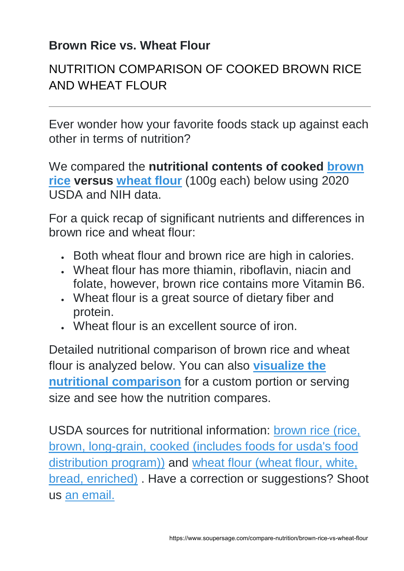## **Brown Rice vs. Wheat Flour**

# NUTRITION COMPARISON OF COOKED BROWN RICE AND WHEAT FLOUR

Ever wonder how your favorite foods stack up against each other in terms of nutrition?

We compared the **nutritional contents of cooked [brown](https://www.soupersage.com/nutrition-calories-protein/brown-rice)  [rice](https://www.soupersage.com/nutrition-calories-protein/brown-rice) versus [wheat flour](https://www.soupersage.com/nutrition-calories-protein/wheat-flour)** (100g each) below using 2020 USDA and NIH data.

For a quick recap of significant nutrients and differences in brown rice and wheat flour:

- . Both wheat flour and brown rice are high in calories.
- Wheat flour has more thiamin, riboflavin, niacin and folate, however, brown rice contains more Vitamin B6.
- Wheat flour is a great source of dietary fiber and protein.
- Wheat flour is an excellent source of iron.

Detailed nutritional comparison of brown rice and wheat flour is analyzed below. You can also **[visualize the](https://www.soupersage.com/compare-nutrition/brown-rice-vs-wheat-flour#customize_portion)  [nutritional comparison](https://www.soupersage.com/compare-nutrition/brown-rice-vs-wheat-flour#customize_portion)** for a custom portion or serving size and see how the nutrition compares.

USDA sources for nutritional information: [brown rice \(rice,](https://fdc.nal.usda.gov/fdc-app.html#/food-details/169704/nutrients)  [brown, long-grain, cooked \(includes foods for usda's food](https://fdc.nal.usda.gov/fdc-app.html#/food-details/169704/nutrients)  [distribution program\)\)](https://fdc.nal.usda.gov/fdc-app.html#/food-details/169704/nutrients) and [wheat flour \(wheat flour, white,](https://fdc.nal.usda.gov/fdc-app.html#/food-details/168896/nutrients)  [bread, enriched\)](https://fdc.nal.usda.gov/fdc-app.html#/food-details/168896/nutrients) . Have a correction or suggestions? Shoot us [an email.](mailto:support@soupersage.com)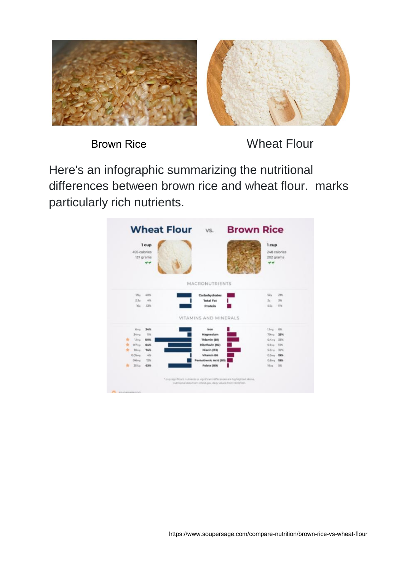

Brown Rice Wheat Flour

Here's an infographic summarizing the nutritional differences between brown rice and wheat flour. marks particularly rich nutrients.

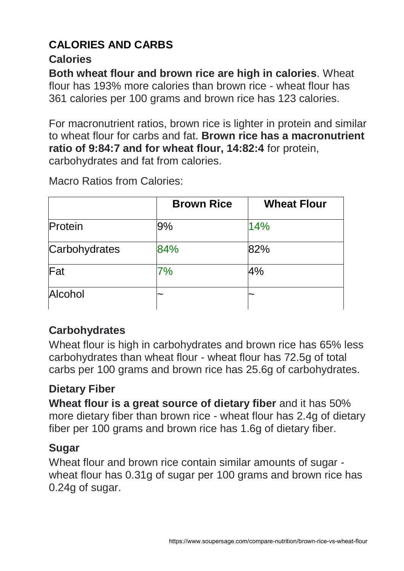# **CALORIES AND CARBS**

### **Calories**

**Both wheat flour and brown rice are high in calories**. Wheat flour has 193% more calories than brown rice - wheat flour has 361 calories per 100 grams and brown rice has 123 calories.

For macronutrient ratios, brown rice is lighter in protein and similar to wheat flour for carbs and fat. **Brown rice has a macronutrient ratio of 9:84:7 and for wheat flour, 14:82:4** for protein, carbohydrates and fat from calories.

|               | <b>Brown Rice</b> | <b>Wheat Flour</b> |
|---------------|-------------------|--------------------|
| Protein       | 9%                | 14%                |
| Carbohydrates | 84%               | 82%                |
| Fat           | 7%                | 4%                 |
| Alcohol       | ~                 |                    |

Macro Ratios from Calories:

## **Carbohydrates**

Wheat flour is high in carbohydrates and brown rice has 65% less carbohydrates than wheat flour - wheat flour has 72.5g of total carbs per 100 grams and brown rice has 25.6g of carbohydrates.

## **Dietary Fiber**

**Wheat flour is a great source of dietary fiber** and it has 50% more dietary fiber than brown rice - wheat flour has 2.4g of dietary fiber per 100 grams and brown rice has 1.6g of dietary fiber.

### **Sugar**

Wheat flour and brown rice contain similar amounts of sugar wheat flour has 0.31g of sugar per 100 grams and brown rice has 0.24g of sugar.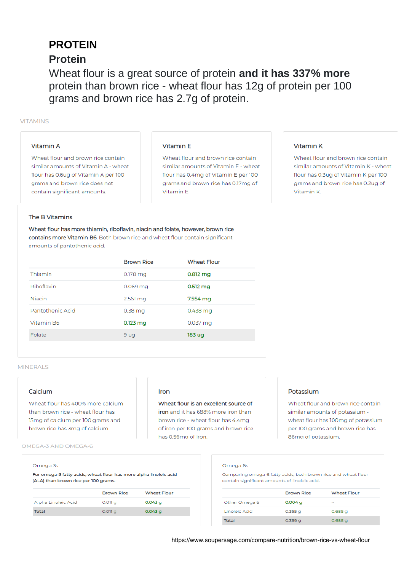## **PROTEIN**

### **Protein**

Wheat flour is a great source of protein and it has 337% more protein than brown rice - wheat flour has 12q of protein per 100 grams and brown rice has 2.7g of protein.

#### **VITAMINS**

#### Vitamin A

Wheat flour and brown rice contain similar amounts of Vitamin A - wheat flour has 0.6ug of Vitamin A per 100 grams and brown rice does not contain significant amounts.

#### Vitamin E

Wheat flour and brown rice contain similar amounts of Vitamin E - wheat flour has 0.4mg of Vitamin E per 100 grams and brown rice has 0.17mg of Vitamin F

#### Vitamin K

Wheat flour and brown rice contain similar amounts of Vitamin K - wheat flour has 0.3ug of Vitamin K per 100 grams and brown rice has 0.2ug of Vitamin K.

#### The B Vitamins

Wheat flour has more thiamin, riboflavin, niacin and folate, however, brown rice contains more Vitamin B6. Both brown rice and wheat flour contain significant amounts of pantothenic acid.

|                  | <b>Brown Rice</b>     | <b>Wheat Flour</b> |
|------------------|-----------------------|--------------------|
| Thiamin          | $0.178$ mg            | $0.812$ mg         |
| Riboflavin       | $0.069$ mg            | $0.512$ mg         |
| Niacin           | $2.561 \,\mathrm{mq}$ | 7.554 mg           |
| Pantothenic Acid | $0.38$ mg             | $0.438$ mg         |
| Vitamin B6       | $0.123$ mg            | $0.037$ mg         |
| Folate           | 9 ug                  | 183 ug             |

#### **MINERALS**

#### Calcium

Wheat flour has 400% more calcium than brown rice - wheat flour has 15mg of calcium per 100 grams and brown rice has 3mg of calcium.

OMEGA-3 AND OMEGA-6

#### Omega 3s

For omega-3 fatty acids, wheat flour has more alpha linoleic acid (ALA) than brown rice per 100 grams.

|                     | <b>Brown Rice</b> | <b>Wheat Flour</b> |
|---------------------|-------------------|--------------------|
| Alpha Linoleic Acid | $0.011$ g         | $0.043$ g          |
| Total               | $0.011$ q         | $0.043$ g          |

#### Iron

Wheat flour is an excellent source of iron and it has 688% more iron than brown rice - wheat flour has 4.4mg of iron per 100 grams and brown rice has 0.56mg of iron.

#### Potassium

Wheat flour and brown rice contain similar amounts of potassium wheat flour has 100mg of potassium per 100 grams and brown rice has 86mg of potassium.

#### Omega 6s

Comparing omega-6 fatty acids, both brown rice and wheat flour contain significant amounts of linoleic acid.

|               | <b>Brown Rice</b> | <b>Wheat Flour</b> |
|---------------|-------------------|--------------------|
| Other Omega 6 | $0.004$ g         | <b>Chair</b>       |
| Linoleic Acid | $0.355$ q         | 0.685q             |
| Total         | $0.359$ g         | $0.685$ g          |

https://www.soupersage.com/compare-nutrition/brown-rice-vs-wheat-flour